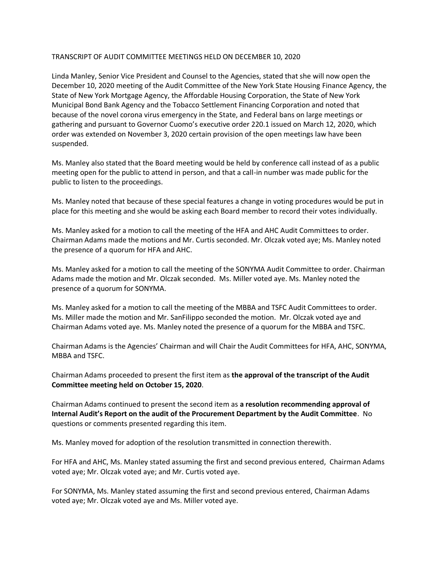## TRANSCRIPT OF AUDIT COMMITTEE MEETINGS HELD ON DECEMBER 10, 2020

Linda Manley, Senior Vice President and Counsel to the Agencies, stated that she will now open the December 10, 2020 meeting of the Audit Committee of the New York State Housing Finance Agency, the State of New York Mortgage Agency, the Affordable Housing Corporation, the State of New York Municipal Bond Bank Agency and the Tobacco Settlement Financing Corporation and noted that because of the novel corona virus emergency in the State, and Federal bans on large meetings or gathering and pursuant to Governor Cuomo's executive order 220.1 issued on March 12, 2020, which order was extended on November 3, 2020 certain provision of the open meetings law have been suspended.

Ms. Manley also stated that the Board meeting would be held by conference call instead of as a public meeting open for the public to attend in person, and that a call-in number was made public for the public to listen to the proceedings.

Ms. Manley noted that because of these special features a change in voting procedures would be put in place for this meeting and she would be asking each Board member to record their votes individually.

Ms. Manley asked for a motion to call the meeting of the HFA and AHC Audit Committees to order. Chairman Adams made the motions and Mr. Curtis seconded. Mr. Olczak voted aye; Ms. Manley noted the presence of a quorum for HFA and AHC.

Ms. Manley asked for a motion to call the meeting of the SONYMA Audit Committee to order. Chairman Adams made the motion and Mr. Olczak seconded. Ms. Miller voted aye. Ms. Manley noted the presence of a quorum for SONYMA.

Ms. Manley asked for a motion to call the meeting of the MBBA and TSFC Audit Committees to order. Ms. Miller made the motion and Mr. SanFilippo seconded the motion. Mr. Olczak voted aye and Chairman Adams voted aye. Ms. Manley noted the presence of a quorum for the MBBA and TSFC.

Chairman Adams is the Agencies' Chairman and will Chair the Audit Committees for HFA, AHC, SONYMA, MBBA and TSFC.

Chairman Adams proceeded to present the first item as **the approval of the transcript of the Audit Committee meeting held on October 15, 2020**.

Chairman Adams continued to present the second item as **a resolution recommending approval of Internal Audit's Report on the audit of the Procurement Department by the Audit Committee**. No questions or comments presented regarding this item.

Ms. Manley moved for adoption of the resolution transmitted in connection therewith.

For HFA and AHC, Ms. Manley stated assuming the first and second previous entered, Chairman Adams voted aye; Mr. Olczak voted aye; and Mr. Curtis voted aye.

For SONYMA, Ms. Manley stated assuming the first and second previous entered, Chairman Adams voted aye; Mr. Olczak voted aye and Ms. Miller voted aye.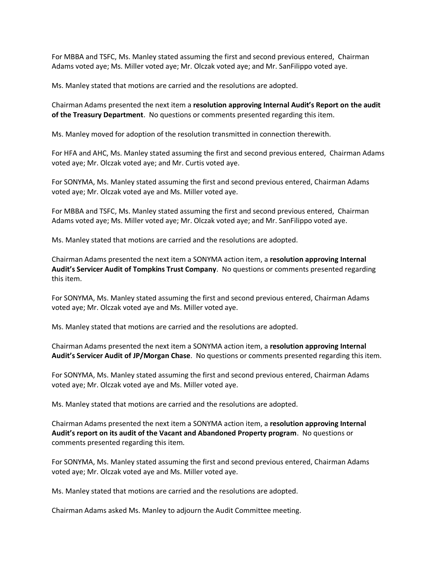For MBBA and TSFC, Ms. Manley stated assuming the first and second previous entered, Chairman Adams voted aye; Ms. Miller voted aye; Mr. Olczak voted aye; and Mr. SanFilippo voted aye.

Ms. Manley stated that motions are carried and the resolutions are adopted.

Chairman Adams presented the next item a **resolution approving Internal Audit's Report on the audit of the Treasury Department**. No questions or comments presented regarding this item.

Ms. Manley moved for adoption of the resolution transmitted in connection therewith.

For HFA and AHC, Ms. Manley stated assuming the first and second previous entered, Chairman Adams voted aye; Mr. Olczak voted aye; and Mr. Curtis voted aye.

For SONYMA, Ms. Manley stated assuming the first and second previous entered, Chairman Adams voted aye; Mr. Olczak voted aye and Ms. Miller voted aye.

For MBBA and TSFC, Ms. Manley stated assuming the first and second previous entered, Chairman Adams voted aye; Ms. Miller voted aye; Mr. Olczak voted aye; and Mr. SanFilippo voted aye.

Ms. Manley stated that motions are carried and the resolutions are adopted.

Chairman Adams presented the next item a SONYMA action item, a **resolution approving Internal Audit's Servicer Audit of Tompkins Trust Company**. No questions or comments presented regarding this item.

For SONYMA, Ms. Manley stated assuming the first and second previous entered, Chairman Adams voted aye; Mr. Olczak voted aye and Ms. Miller voted aye.

Ms. Manley stated that motions are carried and the resolutions are adopted.

Chairman Adams presented the next item a SONYMA action item, a **resolution approving Internal Audit's Servicer Audit of JP/Morgan Chase**. No questions or comments presented regarding this item.

For SONYMA, Ms. Manley stated assuming the first and second previous entered, Chairman Adams voted aye; Mr. Olczak voted aye and Ms. Miller voted aye.

Ms. Manley stated that motions are carried and the resolutions are adopted.

Chairman Adams presented the next item a SONYMA action item, a **resolution approving Internal Audit's report on its audit of the Vacant and Abandoned Property program**. No questions or comments presented regarding this item.

For SONYMA, Ms. Manley stated assuming the first and second previous entered, Chairman Adams voted aye; Mr. Olczak voted aye and Ms. Miller voted aye.

Ms. Manley stated that motions are carried and the resolutions are adopted.

Chairman Adams asked Ms. Manley to adjourn the Audit Committee meeting.